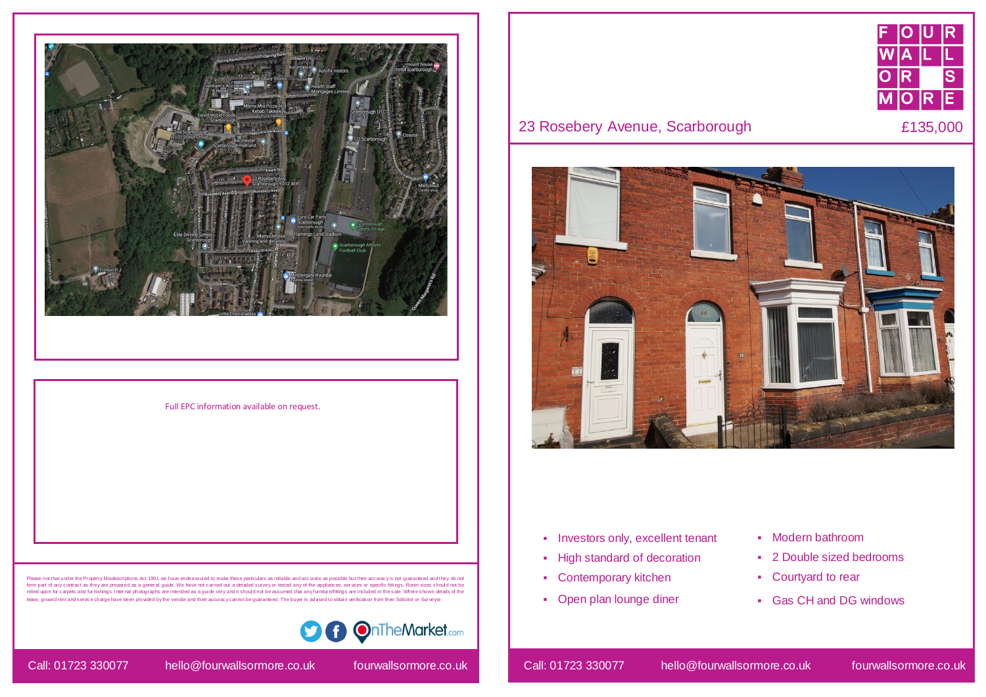- **Investors only, excellent tenant**
- **-** High standard of decoration
- Contemporary kitchen
- Open plan lounge diner







## 23 Rosebery Avenue, Scarborough **E135,000**



- Modern bathroom
- 2 Double sized bedrooms
- Courtyard to rear
- Gas CH and DG windows